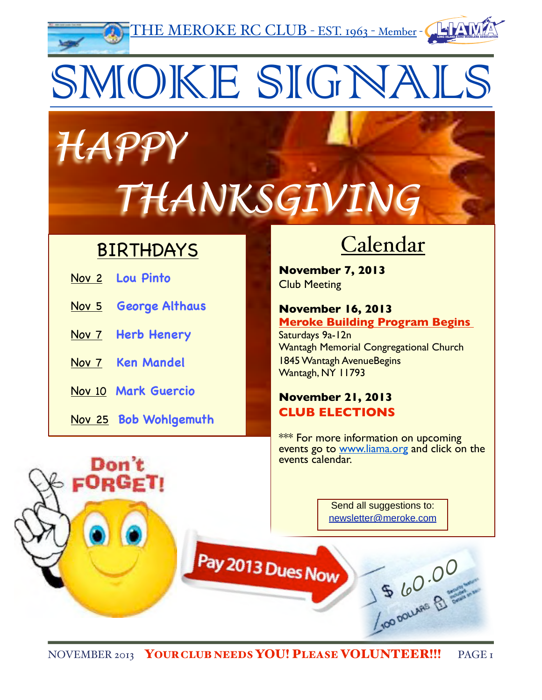THE MEROKE RC CLUB - EST. 1963 - Member - !&(,( !"#\$%&'!(#)%%(\*+"%,")\*!\*+'%(''"-&(.&"#

# SMOKE SIGNALS

# *HAPPY THANKSGIVING*

### BIRTHDAYS

| Nov 2 Lou Pinto       |
|-----------------------|
| Nov 5 George Althaus  |
| Nov 7 Herb Henery     |
| Nov 7 Ken Mandel      |
| Nov 10 Mark Guercio   |
| Nov 25 Bob Wohlgemuth |

Don't

**FORGET!** 

## **Calendar**

**November 7, 2013** Club Meeting

#### **November 16, 2013 Meroke Building Program Begins**

Saturdays 9a-12n Wantagh Memorial Congregational Church 1845 Wantagh AvenueBegins Wantagh, NY 11793

#### **November 21, 2013 CLUB ELECTIONS**

\*\*\* For more information on upcoming events go to [www.liama.org](http://www.liama.org) and click on the events calendar.

> Send all suggestions to: [newsletter@meroke.com](mailto:newsletter@meroke.com)

> > 15 60.00

Pay 2013 Dues Now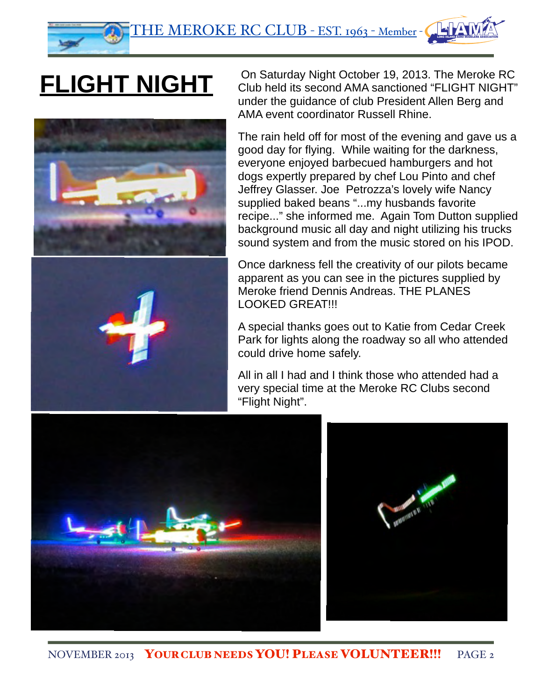## **FLIGHT NIGHT**





On Saturday Night October 19, 2013. The Meroke RC Club held its second AMA sanctioned "FLIGHT NIGHT" under the guidance of club President Allen Berg and AMA event coordinator Russell Rhine.

The rain held off for most of the evening and gave us a good day for flying. While waiting for the darkness, everyone enjoyed barbecued hamburgers and hot dogs expertly prepared by chef Lou Pinto and chef Jeffrey Glasser. Joe Petrozza's lovely wife Nancy supplied baked beans "...my husbands favorite recipe..." she informed me. Again Tom Dutton supplied background music all day and night utilizing his trucks sound system and from the music stored on his IPOD.

Once darkness fell the creativity of our pilots became apparent as you can see in the pictures supplied by Meroke friend Dennis Andreas. THE PLANES LOOKED GREAT!!!

A special thanks goes out to Katie from Cedar Creek Park for lights along the roadway so all who attended could drive home safely.

All in all I had and I think those who attended had a very special time at the Meroke RC Clubs second "Flight Night".

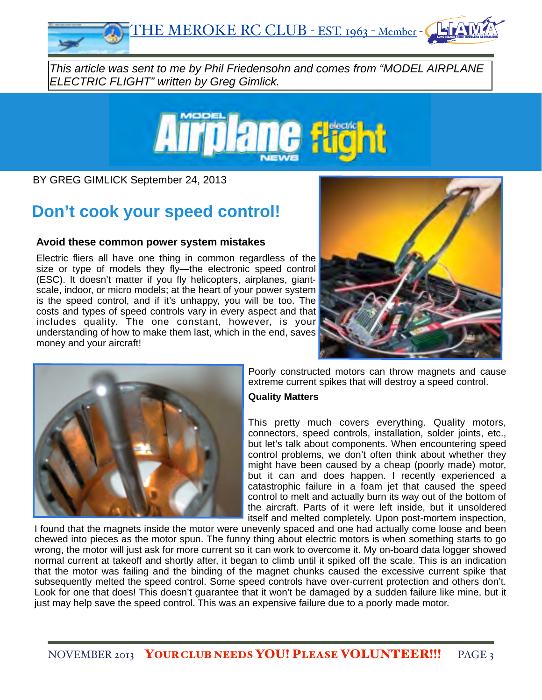

*This article was sent to me by Phil Friedensohn and comes from "MODEL AIRPLANE ELECTRIC FLIGHT" written by Greg Gimlick.*



BY GREG GIMLICK September 24, 2013

### **[Don't cook your speed control!](http://www.modelairplanenews.com/blog/2013/09/24/dont-cook-your-speed-control/)**

#### **Avoid these common power system mistakes**

Electric fliers all have one thing in common regardless of the size or type of models they fly—the electronic speed control (ESC). It doesn't matter if you fly helicopters, airplanes, giantscale, indoor, or micro models; at the heart of your power system is the speed control, and if it's unhappy, you will be too. The costs and types of speed controls vary in every aspect and that includes quality. The one constant, however, is your understanding of how to make them last, which in the end, saves money and your aircraft!





Poorly constructed motors can throw magnets and cause extreme current spikes that will destroy a speed control.

#### **Quality Matters**

This pretty much covers everything. Quality motors, connectors, speed controls, installation, solder joints, etc., but let's talk about components. When encountering speed control problems, we don't often think about whether they might have been caused by a cheap (poorly made) motor, but it can and does happen. I recently experienced a catastrophic failure in a foam jet that caused the speed control to melt and actually burn its way out of the bottom of the aircraft. Parts of it were left inside, but it unsoldered itself and melted completely. Upon post-mortem inspection,

I found that the magnets inside the motor were unevenly spaced and one had actually come loose and been chewed into pieces as the motor spun. The funny thing about electric motors is when something starts to go wrong, the motor will just ask for more current so it can work to overcome it. My on-board data logger showed normal current at takeoff and shortly after, it began to climb until it spiked off the scale. This is an indication that the motor was failing and the binding of the magnet chunks caused the excessive current spike that subsequently melted the speed control. Some speed controls have over-current protection and others don't. Look for one that does! This doesn't guarantee that it won't be damaged by a sudden failure like mine, but it just may help save the speed control. This was an expensive failure due to a poorly made motor.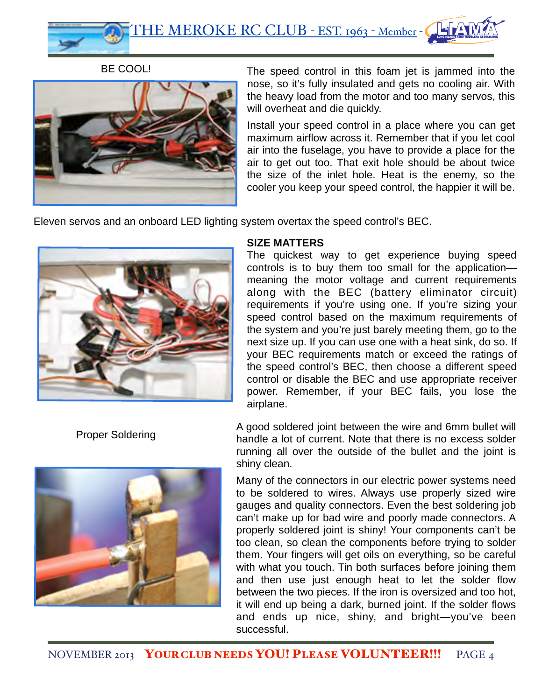BE COOL!



The speed control in this foam jet is jammed into the nose, so it's fully insulated and gets no cooling air. With the heavy load from the motor and too many servos, this will overheat and die quickly.

Install your speed control in a place where you can get maximum airflow across it. Remember that if you let cool air into the fuselage, you have to provide a place for the air to get out too. That exit hole should be about twice the size of the inlet hole. Heat is the enemy, so the cooler you keep your speed control, the happier it will be.

Eleven servos and an onboard LED lighting system overtax the speed control's BEC.



Proper Soldering



#### **SIZE MATTERS**

The quickest way to get experience buying speed controls is to buy them too small for the application meaning the motor voltage and current requirements along with the BEC (battery eliminator circuit) requirements if you're using one. If you're sizing your speed control based on the maximum requirements of the system and you're just barely meeting them, go to the next size up. If you can use one with a heat sink, do so. If your BEC requirements match or exceed the ratings of the speed control's BEC, then choose a different speed control or disable the BEC and use appropriate receiver power. Remember, if your BEC fails, you lose the airplane.

A good soldered joint between the wire and 6mm bullet will handle a lot of current. Note that there is no excess solder running all over the outside of the bullet and the joint is shiny clean.

Many of the connectors in our electric power systems need to be soldered to wires. Always use properly sized wire gauges and quality connectors. Even the best soldering job can't make up for bad wire and poorly made connectors. A properly soldered joint is shiny! Your components can't be too clean, so clean the components before trying to solder them. Your fingers will get oils on everything, so be careful with what you touch. Tin both surfaces before joining them and then use just enough heat to let the solder flow between the two pieces. If the iron is oversized and too hot, it will end up being a dark, burned joint. If the solder flows and ends up nice, shiny, and bright—you've been successful.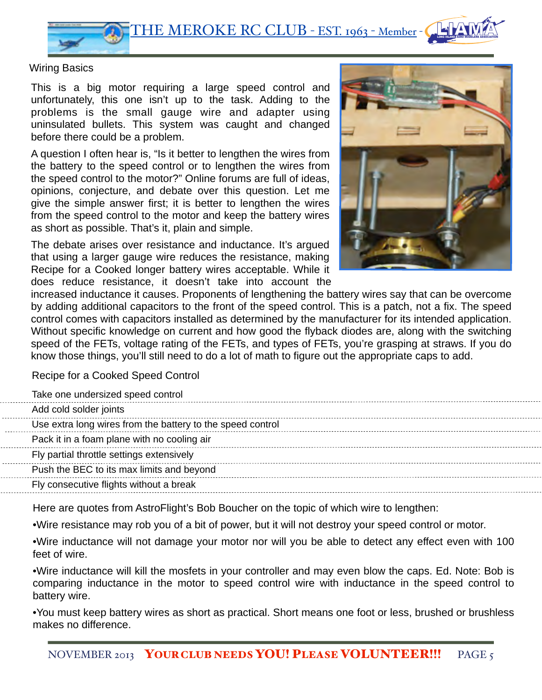

#### Wiring Basics

This is a big motor requiring a large speed control and unfortunately, this one isn't up to the task. Adding to the problems is the small gauge wire and adapter using uninsulated bullets. This system was caught and changed before there could be a problem.

A question I often hear is, "Is it better to lengthen the wires from the battery to the speed control or to lengthen the wires from the speed control to the motor?" Online forums are full of ideas, opinions, conjecture, and debate over this question. Let me give the simple answer first; it is better to lengthen the wires from the speed control to the motor and keep the battery wires as short as possible. That's it, plain and simple.

The debate arises over resistance and inductance. It's argued that using a larger gauge wire reduces the resistance, making Recipe for a Cooked longer battery wires acceptable. While it does reduce resistance, it doesn't take into account the



increased inductance it causes. Proponents of lengthening the battery wires say that can be overcome by adding additional capacitors to the front of the speed control. This is a patch, not a fix. The speed control comes with capacitors installed as determined by the manufacturer for its intended application. Without specific knowledge on current and how good the flyback diodes are, along with the switching speed of the FETs, voltage rating of the FETs, and types of FETs, you're grasping at straws. If you do know those things, you'll still need to do a lot of math to figure out the appropriate caps to add.

Recipe for a Cooked Speed Control

 $1.1.1.1.1$ 

<u>. . . . . . . .</u> . . . . . . . . .

| Take one undersized speed control                          |
|------------------------------------------------------------|
| Add cold solder joints                                     |
| Use extra long wires from the battery to the speed control |
| Pack it in a foam plane with no cooling air                |
| Fly partial throttle settings extensively                  |
| Push the BEC to its max limits and beyond                  |
| Fly consecutive flights without a break                    |
|                                                            |

Here are quotes from AstroFlight's Bob Boucher on the topic of which wire to lengthen:

•Wire resistance may rob you of a bit of power, but it will not destroy your speed control or motor.

•Wire inductance will not damage your motor nor will you be able to detect any effect even with 100 feet of wire.

•Wire inductance will kill the mosfets in your controller and may even blow the caps. Ed. Note: Bob is comparing inductance in the motor to speed control wire with inductance in the speed control to battery wire.

•You must keep battery wires as short as practical. Short means one foot or less, brushed or brushless makes no difference.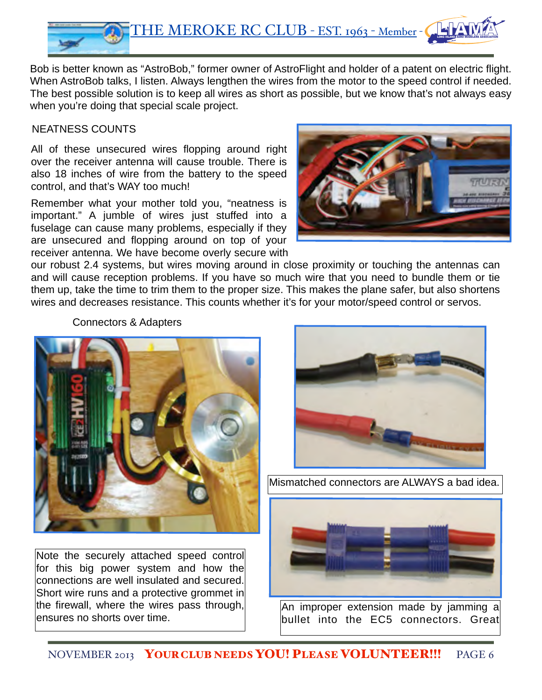

Bob is better known as "AstroBob," former owner of AstroFlight and holder of a patent on electric flight. When AstroBob talks, I listen. Always lengthen the wires from the motor to the speed control if needed. The best possible solution is to keep all wires as short as possible, but we know that's not always easy when you're doing that special scale project.

#### NEATNESS COUNTS

All of these unsecured wires flopping around right over the receiver antenna will cause trouble. There is also 18 inches of wire from the battery to the speed control, and that's WAY too much!

Remember what your mother told you, "neatness is important." A jumble of wires just stuffed into a fuselage can cause many problems, especially if they are unsecured and flopping around on top of your receiver antenna. We have become overly secure with



our robust 2.4 systems, but wires moving around in close proximity or touching the antennas can and will cause reception problems. If you have so much wire that you need to bundle them or tie them up, take the time to trim them to the proper size. This makes the plane safer, but also shortens wires and decreases resistance. This counts whether it's for your motor/speed control or servos.

Connectors & Adapters



Note the securely attached speed control for this big power system and how the connections are well insulated and secured. Short wire runs and a protective grommet in the firewall, where the wires pass through, ensures no shorts over time.



Mismatched connectors are ALWAYS a bad idea.



An improper extension made by jamming a bullet into the EC5 connectors. Great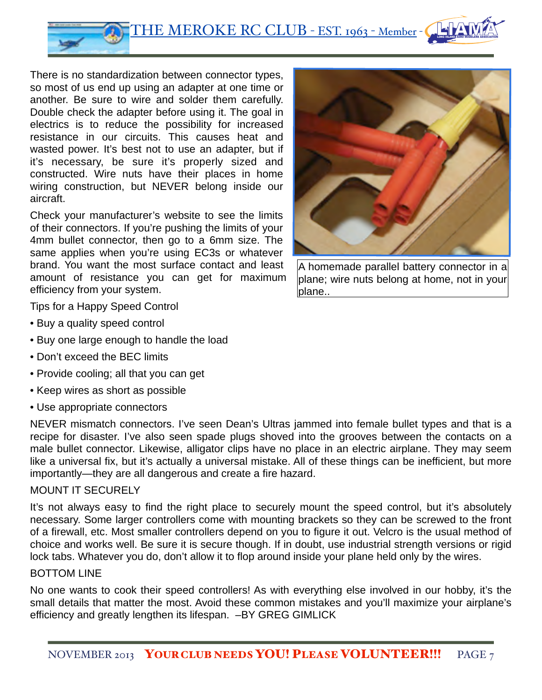THE MEROKE RC CLUB - EST. 1963 - Member - LONG ISLAND AERO MODELERS ASSOCIATION

There is no standardization between connector types, so most of us end up using an adapter at one time or another. Be sure to wire and solder them carefully. Double check the adapter before using it. The goal in electrics is to reduce the possibility for increased resistance in our circuits. This causes heat and wasted power. It's best not to use an adapter, but if it's necessary, be sure it's properly sized and constructed. Wire nuts have their places in home wiring construction, but NEVER belong inside our aircraft.

Check your manufacturer's website to see the limits of their connectors. If you're pushing the limits of your 4mm bullet connector, then go to a 6mm size. The same applies when you're using EC3s or whatever brand. You want the most surface contact and least amount of resistance you can get for maximum efficiency from your system.



A homemade parallel battery connector in a plane; wire nuts belong at home, not in your blane..

Tips for a Happy Speed Control

- Buy a quality speed control
- Buy one large enough to handle the load
- Don't exceed the BEC limits
- Provide cooling; all that you can get
- Keep wires as short as possible
- Use appropriate connectors

NEVER mismatch connectors. I've seen Dean's Ultras jammed into female bullet types and that is a recipe for disaster. I've also seen spade plugs shoved into the grooves between the contacts on a male bullet connector. Likewise, alligator clips have no place in an electric airplane. They may seem like a universal fix, but it's actually a universal mistake. All of these things can be inefficient, but more importantly—they are all dangerous and create a fire hazard.

#### MOUNT IT SECURELY

It's not always easy to find the right place to securely mount the speed control, but it's absolutely necessary. Some larger controllers come with mounting brackets so they can be screwed to the front of a firewall, etc. Most smaller controllers depend on you to figure it out. Velcro is the usual method of choice and works well. Be sure it is secure though. If in doubt, use industrial strength versions or rigid lock tabs. Whatever you do, don't allow it to flop around inside your plane held only by the wires.

#### BOTTOM LINE

No one wants to cook their speed controllers! As with everything else involved in our hobby, it's the small details that matter the most. Avoid these common mistakes and you'll maximize your airplane's efficiency and greatly lengthen its lifespan. –BY GREG GIMLICK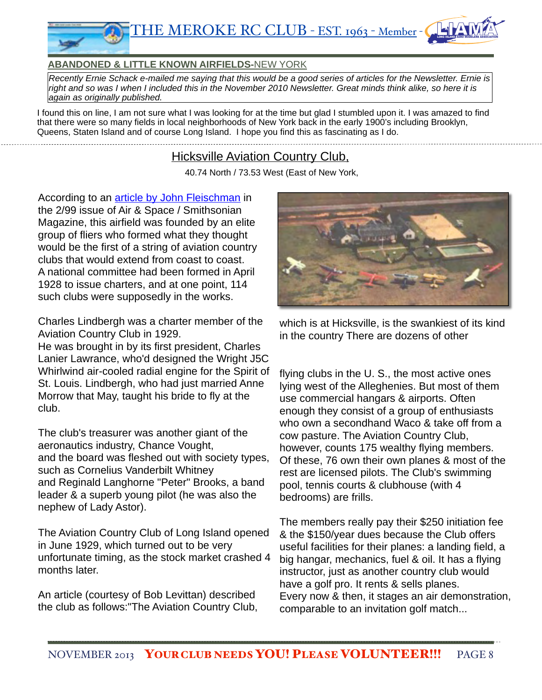

#### **ABANDONED & LITTLE KNOWN AIRFIELDS-**NEW YORK

*Recently Ernie Schack e-mailed me saying that this would be a good series of articles for the Newsletter. Ernie is right and so was I when I included this in the November 2010 Newsletter. Great minds think alike, so here it is again as originally published.*

I found this on line, I am not sure what I was looking for at the time but glad I stumbled upon it. I was amazed to find that there were so many fields in local neighborhoods of New York back in the early 1900's including Brooklyn, Queens, Staten Island and of course Long Island. I hope you find this as fascinating as I do.

#### **Hicksville Aviation Country Club.**

40.74 North / 73.53 West (East of New York,

According to an **article by John Fleischman** in the 2/99 issue of Air & Space / Smithsonian Magazine, this airfield was founded by an elite group of fliers who formed what they thought would be the first of a string of aviation country clubs that would extend from coast to coast. A national committee had been formed in April 1928 to issue charters, and at one point, 114 such clubs were supposedly in the works.

Charles Lindbergh was a charter member of the Aviation Country Club in 1929.

He was brought in by its first president, Charles Lanier Lawrance, who'd designed the Wright J5C Whirlwind air-cooled radial engine for the Spirit of St. Louis. Lindbergh, who had just married Anne Morrow that May, taught his bride to fly at the club.

The club's treasurer was another giant of the aeronautics industry, Chance Vought, and the board was fleshed out with society types, such as Cornelius Vanderbilt Whitney and Reginald Langhorne "Peter" Brooks, a band leader & a superb young pilot (he was also the nephew of Lady Astor).

The Aviation Country Club of Long Island opened in June 1929, which turned out to be very unfortunate timing, as the stock market crashed 4 months later.

An article (courtesy of Bob Levittan) described the club as follows:"The Aviation Country Club,



which is at Hicksville, is the swankiest of its kind in the country There are dozens of other

flying clubs in the U. S., the most active ones lying west of the Alleghenies. But most of them use commercial hangars & airports. Often enough they consist of a group of enthusiasts who own a secondhand Waco & take off from a cow pasture. The Aviation Country Club, however, counts 175 wealthy flying members. Of these, 76 own their own planes & most of the rest are licensed pilots. The Club's swimming pool, tennis courts & clubhouse (with 4 bedrooms) are frills.

The members really pay their \$250 initiation fee & the \$150/year dues because the Club offers useful facilities for their planes: a landing field, a big hangar, mechanics, fuel & oil. It has a flying instructor, just as another country club would have a golf pro. It rents & sells planes. Every now & then, it stages an air demonstration, comparable to an invitation golf match...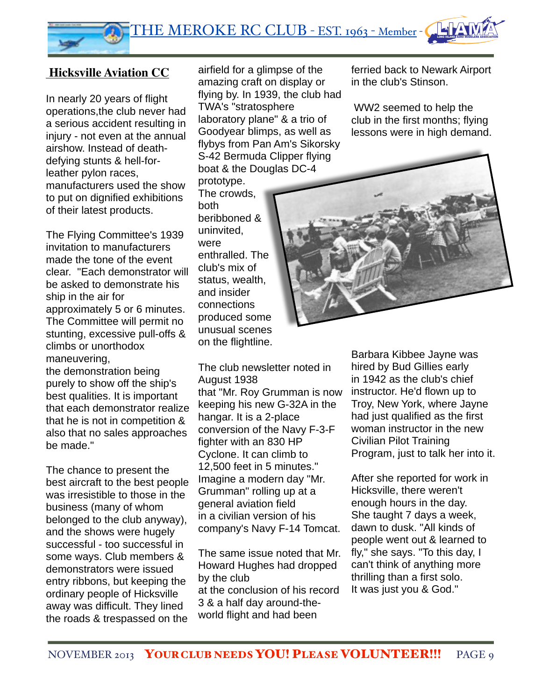

#### **Hicksville Aviation CC**

In nearly 20 years of flight operations,the club never had a serious accident resulting in injury - not even at the annual airshow. Instead of deathdefying stunts & hell-forleather pylon races, manufacturers used the show to put on dignified exhibitions of their latest products.

The Flying Committee's 1939 invitation to manufacturers made the tone of the event clear. "Each demonstrator will be asked to demonstrate his ship in the air for approximately 5 or 6 minutes. The Committee will permit no stunting, excessive pull-offs & climbs or unorthodox maneuvering,

the demonstration being purely to show off the ship's best qualities. It is important that each demonstrator realize that he is not in competition & also that no sales approaches be made."

The chance to present the best aircraft to the best people was irresistible to those in the business (many of whom belonged to the club anyway), and the shows were hugely successful - too successful in some ways. Club members & demonstrators were issued entry ribbons, but keeping the ordinary people of Hicksville away was difficult. They lined the roads & trespassed on the

airfield for a glimpse of the amazing craft on display or flying by. In 1939, the club had TWA's "stratosphere laboratory plane" & a trio of Goodyear blimps, as well as flybys from Pan Am's Sikorsky S-42 Bermuda Clipper flying boat & the Douglas DC-4

prototype. The crowds, both beribboned & uninvited, were enthralled. The club's mix of status, wealth, and insider connections produced some unusual scenes on the flightline.

The club newsletter noted in August 1938 that "Mr. Roy Grumman is now keeping his new G-32A in the hangar. It is a 2-place conversion of the Navy F-3-F fighter with an 830 HP Cyclone. It can climb to 12,500 feet in 5 minutes." Imagine a modern day "Mr. Grumman" rolling up at a general aviation field in a civilian version of his company's Navy F-14 Tomcat.

The same issue noted that Mr. Howard Hughes had dropped by the club at the conclusion of his record 3 & a half day around-theworld flight and had been

ferried back to Newark Airport in the club's Stinson.

WW2 seemed to help the club in the first months; flying lessons were in high demand.



Barbara Kibbee Jayne was hired by Bud Gillies early in 1942 as the club's chief instructor. He'd flown up to Troy, New York, where Jayne had just qualified as the first woman instructor in the new Civilian Pilot Training Program, just to talk her into it.

After she reported for work in Hicksville, there weren't enough hours in the day. She taught 7 days a week, dawn to dusk. "All kinds of people went out & learned to fly," she says. "To this day, I can't think of anything more thrilling than a first solo. It was just you & God."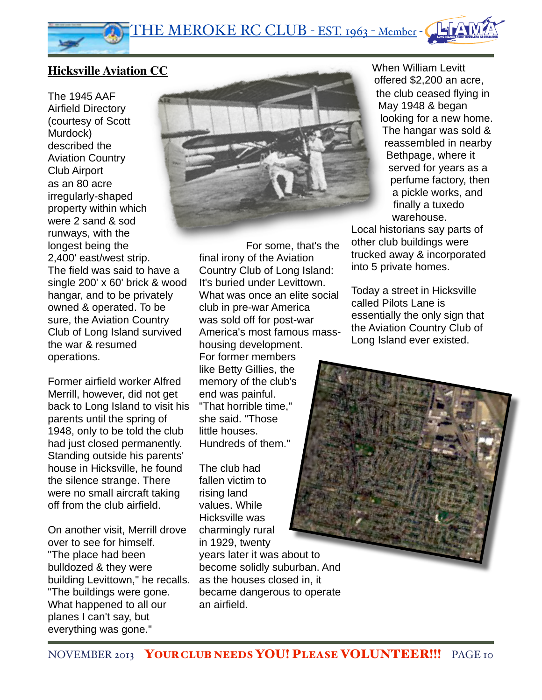#### **Hicksville Aviation CC**

The 1945 AAF Airfield Directory (courtesy of Scott Murdock) described the Aviation Country Club Airport as an 80 acre irregularly-shaped property within which were 2 sand & sod runways, with the longest being the 2,400' east/west strip. The field was said to have a single 200' x 60' brick & wood hangar, and to be privately owned & operated. To be sure, the Aviation Country Club of Long Island survived the war & resumed operations.

Former airfield worker Alfred Merrill, however, did not get back to Long Island to visit his parents until the spring of 1948, only to be told the club had just closed permanently. Standing outside his parents' house in Hicksville, he found the silence strange. There were no small aircraft taking off from the club airfield.

On another visit, Merrill drove over to see for himself. "The place had been bulldozed & they were building Levittown," he recalls. "The buildings were gone. What happened to all our planes I can't say, but everything was gone."



For some, that's the final irony of the Aviation Country Club of Long Island: It's buried under Levittown. What was once an elite social club in pre-war America was sold off for post-war America's most famous masshousing development. For former members like Betty Gillies, the memory of the club's end was painful. "That horrible time," she said. "Those little houses. Hundreds of them."

The club had fallen victim to rising land values. While Hicksville was charmingly rural in 1929, twenty years later it was about to become solidly suburban. And as the houses closed in, it became dangerous to operate an airfield.

When William Levitt offered \$2,200 an acre, the club ceased flying in May 1948 & began looking for a new home. The hangar was sold & reassembled in nearby Bethpage, where it served for years as a perfume factory, then a pickle works, and finally a tuxedo warehouse.

Local historians say parts of other club buildings were trucked away & incorporated into 5 private homes.

Today a street in Hicksville called Pilots Lane is essentially the only sign that the Aviation Country Club of Long Island ever existed.